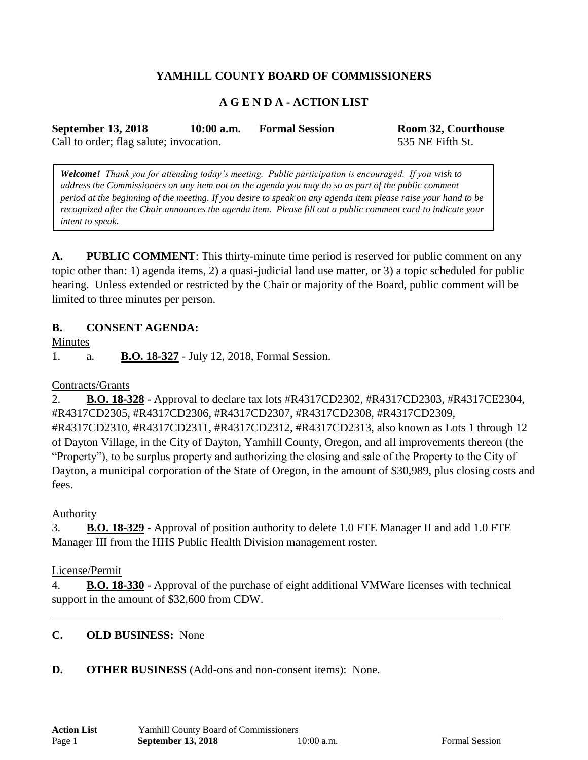# **YAMHILL COUNTY BOARD OF COMMISSIONERS**

### **A G E N D A - ACTION LIST**

**September 13, 2018 10:00 a.m. Formal Session Room 32, Courthouse**

Call to order; flag salute; invocation. 535 NE Fifth St.

*Welcome! Thank you for attending today's meeting. Public participation is encouraged. If you wish to address the Commissioners on any item not on the agenda you may do so as part of the public comment period at the beginning of the meeting. If you desire to speak on any agenda item please raise your hand to be recognized after the Chair announces the agenda item. Please fill out a public comment card to indicate your* 

**A. PUBLIC COMMENT**: This thirty-minute time period is reserved for public comment on any topic other than: 1) agenda items, 2) a quasi-judicial land use matter, or 3) a topic scheduled for public hearing. Unless extended or restricted by the Chair or majority of the Board, public comment will be limited to three minutes per person.

### **B. CONSENT AGENDA:**

**Minutes** 

1. a. **B.O. 18-327** - July 12, 2018, Formal Session.

#### Contracts/Grants

*intent to speak.*

2. **B.O. 18-328** - Approval to declare tax lots #R4317CD2302, #R4317CD2303, #R4317CE2304, #R4317CD2305, #R4317CD2306, #R4317CD2307, #R4317CD2308, #R4317CD2309, #R4317CD2310, #R4317CD2311, #R4317CD2312, #R4317CD2313, also known as Lots 1 through 12 of Dayton Village, in the City of Dayton, Yamhill County, Oregon, and all improvements thereon (the "Property"), to be surplus property and authorizing the closing and sale of the Property to the City of Dayton, a municipal corporation of the State of Oregon, in the amount of \$30,989, plus closing costs and fees.

#### Authority

3. **B.O. 18-329** - Approval of position authority to delete 1.0 FTE Manager II and add 1.0 FTE Manager III from the HHS Public Health Division management roster.

#### License/Permit

4. **B.O. 18-330** - Approval of the purchase of eight additional VMWare licenses with technical support in the amount of \$32,600 from CDW.

### **C. OLD BUSINESS:** None

#### **D. OTHER BUSINESS** (Add-ons and non-consent items): None.